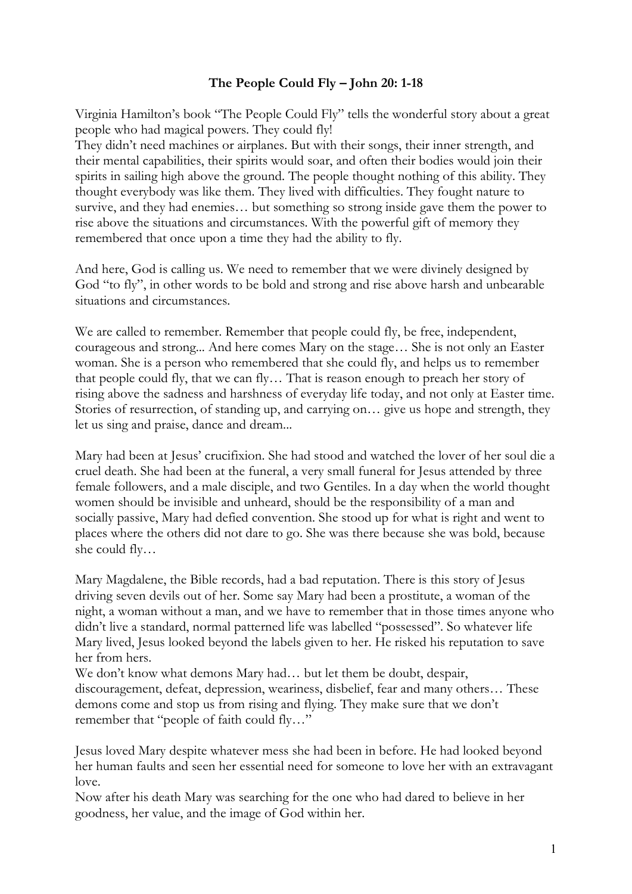## **The People Could Fly – John 20: 1-18**

Virginia Hamilton's book "The People Could Fly" tells the wonderful story about a great people who had magical powers. They could fly!

They didn't need machines or airplanes. But with their songs, their inner strength, and their mental capabilities, their spirits would soar, and often their bodies would join their spirits in sailing high above the ground. The people thought nothing of this ability. They thought everybody was like them. They lived with difficulties. They fought nature to survive, and they had enemies… but something so strong inside gave them the power to rise above the situations and circumstances. With the powerful gift of memory they remembered that once upon a time they had the ability to fly.

And here, God is calling us. We need to remember that we were divinely designed by God "to fly", in other words to be bold and strong and rise above harsh and unbearable situations and circumstances.

We are called to remember. Remember that people could fly, be free, independent, courageous and strong... And here comes Mary on the stage… She is not only an Easter woman. She is a person who remembered that she could fly, and helps us to remember that people could fly, that we can fly… That is reason enough to preach her story of rising above the sadness and harshness of everyday life today, and not only at Easter time. Stories of resurrection, of standing up, and carrying on… give us hope and strength, they let us sing and praise, dance and dream...

Mary had been at Jesus' crucifixion. She had stood and watched the lover of her soul die a cruel death. She had been at the funeral, a very small funeral for Jesus attended by three female followers, and a male disciple, and two Gentiles. In a day when the world thought women should be invisible and unheard, should be the responsibility of a man and socially passive, Mary had defied convention. She stood up for what is right and went to places where the others did not dare to go. She was there because she was bold, because she could fly…

Mary Magdalene, the Bible records, had a bad reputation. There is this story of Jesus driving seven devils out of her. Some say Mary had been a prostitute, a woman of the night, a woman without a man, and we have to remember that in those times anyone who didn't live a standard, normal patterned life was labelled "possessed". So whatever life Mary lived, Jesus looked beyond the labels given to her. He risked his reputation to save her from hers.

We don't know what demons Mary had... but let them be doubt, despair, discouragement, defeat, depression, weariness, disbelief, fear and many others… These demons come and stop us from rising and flying. They make sure that we don't remember that "people of faith could fly…"

Jesus loved Mary despite whatever mess she had been in before. He had looked beyond her human faults and seen her essential need for someone to love her with an extravagant love.

Now after his death Mary was searching for the one who had dared to believe in her goodness, her value, and the image of God within her.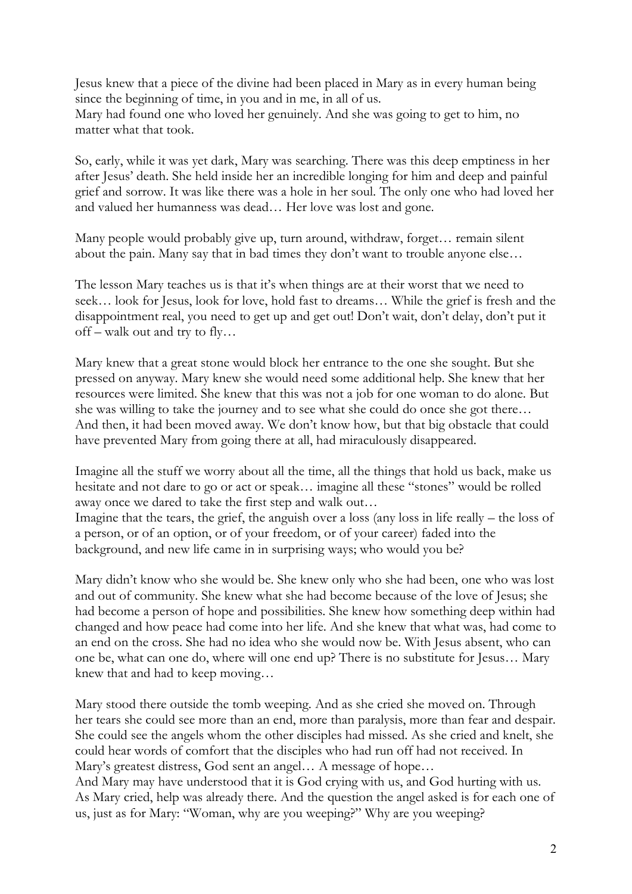Jesus knew that a piece of the divine had been placed in Mary as in every human being since the beginning of time, in you and in me, in all of us. Mary had found one who loved her genuinely. And she was going to get to him, no matter what that took.

So, early, while it was yet dark, Mary was searching. There was this deep emptiness in her after Jesus' death. She held inside her an incredible longing for him and deep and painful grief and sorrow. It was like there was a hole in her soul. The only one who had loved her and valued her humanness was dead… Her love was lost and gone.

Many people would probably give up, turn around, withdraw, forget… remain silent about the pain. Many say that in bad times they don't want to trouble anyone else…

The lesson Mary teaches us is that it's when things are at their worst that we need to seek… look for Jesus, look for love, hold fast to dreams… While the grief is fresh and the disappointment real, you need to get up and get out! Don't wait, don't delay, don't put it off – walk out and try to fly…

Mary knew that a great stone would block her entrance to the one she sought. But she pressed on anyway. Mary knew she would need some additional help. She knew that her resources were limited. She knew that this was not a job for one woman to do alone. But she was willing to take the journey and to see what she could do once she got there… And then, it had been moved away. We don't know how, but that big obstacle that could have prevented Mary from going there at all, had miraculously disappeared.

Imagine all the stuff we worry about all the time, all the things that hold us back, make us hesitate and not dare to go or act or speak… imagine all these "stones" would be rolled away once we dared to take the first step and walk out…

Imagine that the tears, the grief, the anguish over a loss (any loss in life really – the loss of a person, or of an option, or of your freedom, or of your career) faded into the background, and new life came in in surprising ways; who would you be?

Mary didn't know who she would be. She knew only who she had been, one who was lost and out of community. She knew what she had become because of the love of Jesus; she had become a person of hope and possibilities. She knew how something deep within had changed and how peace had come into her life. And she knew that what was, had come to an end on the cross. She had no idea who she would now be. With Jesus absent, who can one be, what can one do, where will one end up? There is no substitute for Jesus… Mary knew that and had to keep moving…

Mary stood there outside the tomb weeping. And as she cried she moved on. Through her tears she could see more than an end, more than paralysis, more than fear and despair. She could see the angels whom the other disciples had missed. As she cried and knelt, she could hear words of comfort that the disciples who had run off had not received. In Mary's greatest distress, God sent an angel… A message of hope…

And Mary may have understood that it is God crying with us, and God hurting with us. As Mary cried, help was already there. And the question the angel asked is for each one of us, just as for Mary: "Woman, why are you weeping?" Why are you weeping?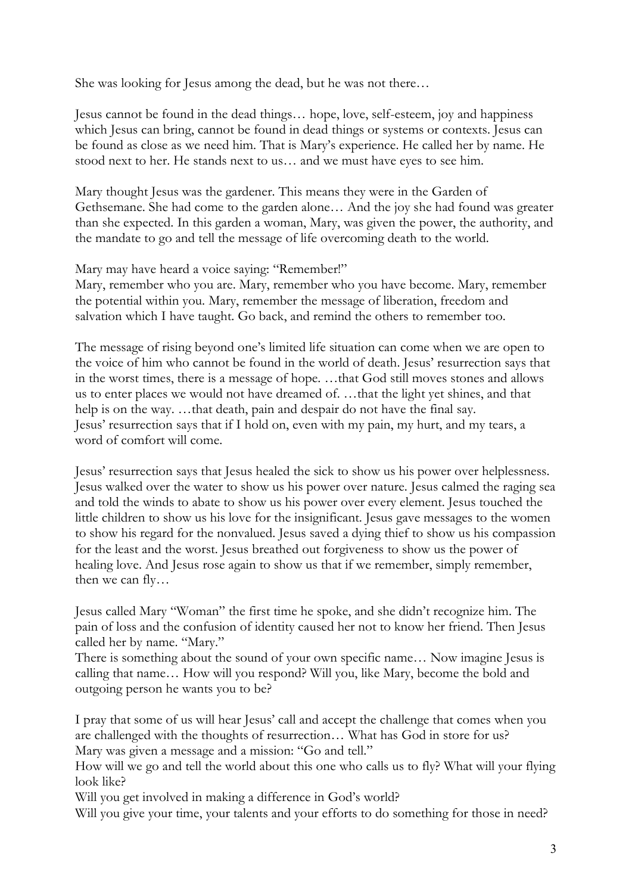She was looking for Jesus among the dead, but he was not there…

Jesus cannot be found in the dead things… hope, love, self-esteem, joy and happiness which Jesus can bring, cannot be found in dead things or systems or contexts. Jesus can be found as close as we need him. That is Mary's experience. He called her by name. He stood next to her. He stands next to us… and we must have eyes to see him.

Mary thought Jesus was the gardener. This means they were in the Garden of Gethsemane. She had come to the garden alone… And the joy she had found was greater than she expected. In this garden a woman, Mary, was given the power, the authority, and the mandate to go and tell the message of life overcoming death to the world.

Mary may have heard a voice saying: "Remember!"

Mary, remember who you are. Mary, remember who you have become. Mary, remember the potential within you. Mary, remember the message of liberation, freedom and salvation which I have taught. Go back, and remind the others to remember too.

The message of rising beyond one's limited life situation can come when we are open to the voice of him who cannot be found in the world of death. Jesus' resurrection says that in the worst times, there is a message of hope. …that God still moves stones and allows us to enter places we would not have dreamed of. …that the light yet shines, and that help is on the way. …that death, pain and despair do not have the final say. Jesus' resurrection says that if I hold on, even with my pain, my hurt, and my tears, a word of comfort will come.

Jesus' resurrection says that Jesus healed the sick to show us his power over helplessness. Jesus walked over the water to show us his power over nature. Jesus calmed the raging sea and told the winds to abate to show us his power over every element. Jesus touched the little children to show us his love for the insignificant. Jesus gave messages to the women to show his regard for the nonvalued. Jesus saved a dying thief to show us his compassion for the least and the worst. Jesus breathed out forgiveness to show us the power of healing love. And Jesus rose again to show us that if we remember, simply remember, then we can fly…

Jesus called Mary "Woman" the first time he spoke, and she didn't recognize him. The pain of loss and the confusion of identity caused her not to know her friend. Then Jesus called her by name. "Mary."

There is something about the sound of your own specific name… Now imagine Jesus is calling that name… How will you respond? Will you, like Mary, become the bold and outgoing person he wants you to be?

I pray that some of us will hear Jesus' call and accept the challenge that comes when you are challenged with the thoughts of resurrection… What has God in store for us? Mary was given a message and a mission: "Go and tell."

How will we go and tell the world about this one who calls us to fly? What will your flying look like?

Will you get involved in making a difference in God's world?

Will you give your time, your talents and your efforts to do something for those in need?